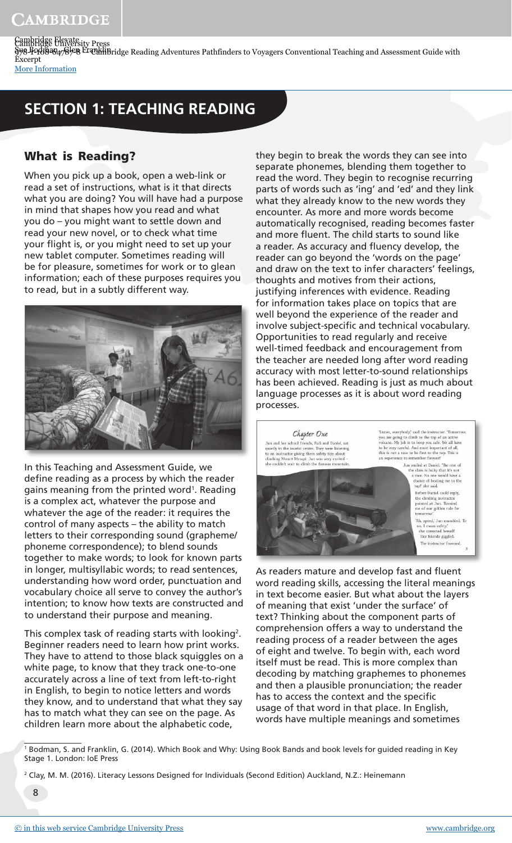## **SECTION 1: TEACHING READING**

## What is Reading?

When you pick up a book, open a web-link or read a set of instructions, what is it that directs what you are doing? You will have had a purpose in mind that shapes how you read and what you do – you might want to settle down and read your new novel, or to check what time your flight is, or you might need to set up your new tablet computer. Sometimes reading will be for pleasure, sometimes for work or to glean information; each of these purposes requires you to read, but in a subtly different way.



In this Teaching and Assessment Guide, we define reading as a process by which the reader gains meaning from the printed word<sup>1</sup>. Reading is a complex act, whatever the purpose and whatever the age of the reader: it requires the control of many aspects – the ability to match letters to their corresponding sound (grapheme/ phoneme correspondence); to blend sounds together to make words; to look for known parts in longer, multisyllabic words; to read sentences, understanding how word order, punctuation and vocabulary choice all serve to convey the author's intention; to know how texts are constructed and to understand their purpose and meaning.

This complex task of reading starts with looking<sup>2</sup>. Beginner readers need to learn how print works. They have to attend to those black squiggles on a white page, to know that they track one-to-one accurately across a line of text from left-to-right in English, to begin to notice letters and words they know, and to understand that what they say has to match what they can see on the page. As children learn more about the alphabetic code,

they begin to break the words they can see into separate phonemes, blending them together to read the word. They begin to recognise recurring parts of words such as 'ing' and 'ed' and they link what they already know to the new words they encounter. As more and more words become automatically recognised, reading becomes faster and more fluent. The child starts to sound like a reader. As accuracy and fluency develop, the reader can go beyond the 'words on the page' and draw on the text to infer characters' feelings, thoughts and motives from their actions, justifying inferences with evidence. Reading for information takes place on topics that are well beyond the experience of the reader and involve subject-specific and technical vocabulary. Opportunities to read regularly and receive well-timed feedback and encouragement from the teacher are needed long after word reading accuracy with most letter-to-sound relationships has been achieved. Reading is just as much about language processes as it is about word reading processes.

Chaster One un and her school friends, Rafi and Daniel, sa<br>uietly in the tourist centre. They were listening un and net school friends, Kall and Daniel, s<br>idely in the tourist centre. They were listeni<br>an instructor giving them safety tips about<br>imbing Mount Merapi. Jun was very excited

Thaten, every<br>body, said the instructor. Tomorro you are going to climb to the top of an active volcano. My job is to keep you safe. We all have to be very careful. And most important of all, this is not a race to be firs

 $\begin{minipage}{0.9\linewidth} \textcolor{black}{\textbf{Jun} \textbf{small}} \textbf{and} \textbf{and} \textbf{then} \textbf{r} \textbf{to} \textbf{to} \textbf{to} \textbf{to} \textbf{to} \textbf{to} \textbf{to} \textbf{to} \textbf{to} \textbf{to} \textbf{to} \textbf{to} \textbf{to} \textbf{to} \textbf{to} \textbf{to} \textbf{to} \textbf{to} \textbf{to} \textbf{to} \textbf{to} \textbf{to} \textbf{to} \textbf{to} \textbf{to} \textbf{to} \textbf{to} \textbf$ top: sne said.<br>Before Daniel could reply,<br>the climbing instructor<br>pointed at Jun. 'Remind<br>me of our golden rule for<br>tomorrow.'

'Ah, speed,' Jun mui<br>no. I mean safety.' o, I mean *safety*,"<br>she corrected herself.<br>Her friends giggled. The instructor frowned.

As readers mature and develop fast and fluent word reading skills, accessing the literal meanings in text become easier. But what about the layers of meaning that exist 'under the surface' of text? Thinking about the component parts of comprehension offers a way to understand the reading process of a reader between the ages of eight and twelve. To begin with, each word itself must be read. This is more complex than decoding by matching graphemes to phonemes and then a plausible pronunciation; the reader has to access the context and the specific usage of that word in that place. In English, words have multiple meanings and sometimes

- 1 Bodman, S. and Franklin, G. (2014). Which Book and Why: Using Book Bands and book levels for guided reading in Key Stage 1. London: IoE Press
- 2 Clay, M. M. (2016). Literacy Lessons Designed for Individuals (Second Edition) Auckland, N.Z.: Heinemann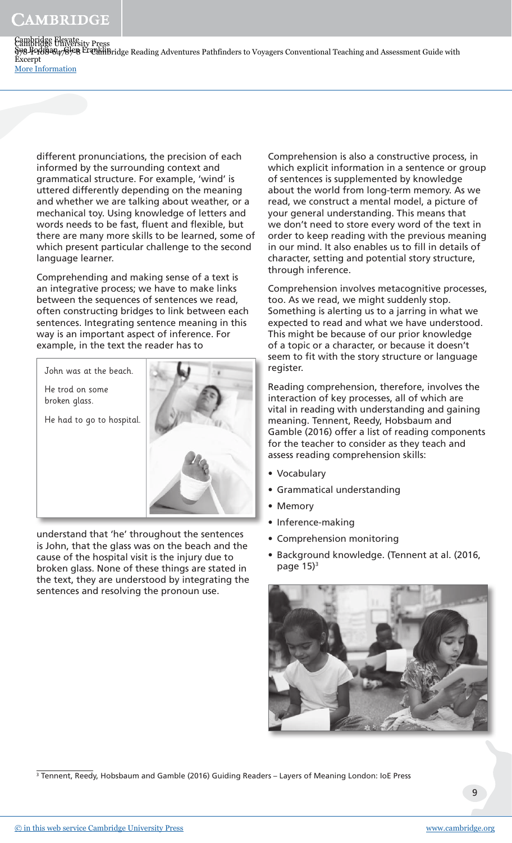Cambridge University Press 998-19888478先8 CAMBridge Reading Adventures Pathfinders to Voyagers Conventional Teaching and Assessment Guide with Cambridge Elevate Sue Bodman , Glen Franklin Excerpt [More Information](www.cambridge.org/9781108647878)

different pronunciations, the precision of each informed by the surrounding context and grammatical structure. For example, 'wind' is uttered differently depending on the meaning and whether we are talking about weather, or a mechanical toy. Using knowledge of letters and words needs to be fast, fluent and flexible, but there are many more skills to be learned, some of which present particular challenge to the second language learner.

Comprehending and making sense of a text is an integrative process; we have to make links between the sequences of sentences we read, often constructing bridges to link between each sentences. Integrating sentence meaning in this way is an important aspect of inference. For example, in the text the reader has to

John was at the beach. He trod on some broken glass.

He had to go to hospital.



understand that 'he' throughout the sentences is John, that the glass was on the beach and the cause of the hospital visit is the injury due to broken glass. None of these things are stated in the text, they are understood by integrating the sentences and resolving the pronoun use.

Comprehension is also a constructive process, in which explicit information in a sentence or group of sentences is supplemented by knowledge about the world from long-term memory. As we read, we construct a mental model, a picture of your general understanding. This means that we don't need to store every word of the text in order to keep reading with the previous meaning in our mind. It also enables us to fill in details of character, setting and potential story structure, through inference.

Comprehension involves metacognitive processes, too. As we read, we might suddenly stop. Something is alerting us to a jarring in what we expected to read and what we have understood. This might be because of our prior knowledge of a topic or a character, or because it doesn't seem to fit with the story structure or language register.

Reading comprehension, therefore, involves the interaction of key processes, all of which are vital in reading with understanding and gaining meaning. Tennent, Reedy, Hobsbaum and Gamble (2016) offer a list of reading components for the teacher to consider as they teach and assess reading comprehension skills:

- Vocabulary
- Grammatical understanding
- Memory
- Inference-making
- Comprehension monitoring
- Background knowledge. (Tennent at al. (2016, page  $15$ <sup>3</sup>



3 Tennent, Reedy, Hobsbaum and Gamble (2016) Guiding Readers – Layers of Meaning London: IoE Press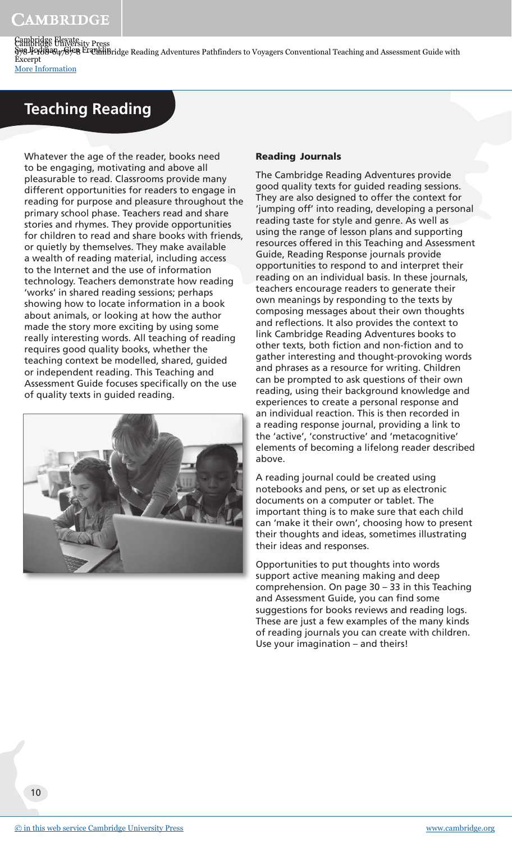## **Teaching Reading**

Whatever the age of the reader, books need to be engaging, motivating and above all pleasurable to read. Classrooms provide many different opportunities for readers to engage in reading for purpose and pleasure throughout the primary school phase. Teachers read and share stories and rhymes. They provide opportunities for children to read and share books with friends, or quietly by themselves. They make available a wealth of reading material, including access to the Internet and the use of information technology. Teachers demonstrate how reading 'works' in shared reading sessions; perhaps showing how to locate information in a book about animals, or looking at how the author made the story more exciting by using some really interesting words. All teaching of reading requires good quality books, whether the teaching context be modelled, shared, guided or independent reading. This Teaching and Assessment Guide focuses specifically on the use of quality texts in guided reading.



#### Reading Journals

The Cambridge Reading Adventures provide good quality texts for guided reading sessions. They are also designed to offer the context for 'jumping off' into reading, developing a personal reading taste for style and genre. As well as using the range of lesson plans and supporting resources offered in this Teaching and Assessment Guide, Reading Response journals provide opportunities to respond to and interpret their reading on an individual basis. In these journals, teachers encourage readers to generate their own meanings by responding to the texts by composing messages about their own thoughts and reflections. It also provides the context to link Cambridge Reading Adventures books to other texts, both fiction and non-fiction and to gather interesting and thought-provoking words and phrases as a resource for writing. Children can be prompted to ask questions of their own reading, using their background knowledge and experiences to create a personal response and an individual reaction. This is then recorded in a reading response journal, providing a link to the 'active', 'constructive' and 'metacognitive' elements of becoming a lifelong reader described above.

A reading journal could be created using notebooks and pens, or set up as electronic documents on a computer or tablet. The important thing is to make sure that each child can 'make it their own', choosing how to present their thoughts and ideas, sometimes illustrating their ideas and responses.

Opportunities to put thoughts into words support active meaning making and deep comprehension. On page 30 – 33 in this Teaching and Assessment Guide, you can find some suggestions for books reviews and reading logs. These are just a few examples of the many kinds of reading journals you can create with children. Use your imagination – and theirs!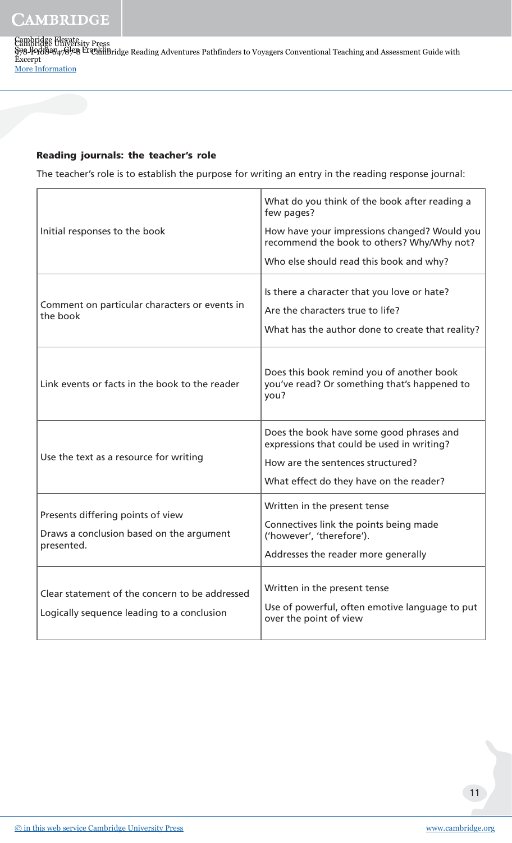Cambridge University Press 998-19888478先8 CAMBridge Reading Adventures Pathfinders to Voyagers Conventional Teaching and Assessment Guide with Cambridge Elevate Sue Bodman , Glen Franklin Excerpt [More Information](www.cambridge.org/9781108647878)

#### Reading journals: the teacher's role

The teacher's role is to establish the purpose for writing an entry in the reading response journal:

| Initial responses to the book                                                                | What do you think of the book after reading a<br>few pages?<br>How have your impressions changed? Would you<br>recommend the book to others? Why/Why not?<br>Who else should read this book and why? |
|----------------------------------------------------------------------------------------------|------------------------------------------------------------------------------------------------------------------------------------------------------------------------------------------------------|
| Comment on particular characters or events in<br>the book                                    | Is there a character that you love or hate?<br>Are the characters true to life?<br>What has the author done to create that reality?                                                                  |
| Link events or facts in the book to the reader                                               | Does this book remind you of another book<br>you've read? Or something that's happened to<br>you?                                                                                                    |
| Use the text as a resource for writing                                                       | Does the book have some good phrases and<br>expressions that could be used in writing?<br>How are the sentences structured?<br>What effect do they have on the reader?                               |
| Presents differing points of view<br>Draws a conclusion based on the argument<br>presented.  | Written in the present tense<br>Connectives link the points being made<br>('however', 'therefore').<br>Addresses the reader more generally                                                           |
| Clear statement of the concern to be addressed<br>Logically sequence leading to a conclusion | Written in the present tense<br>Use of powerful, often emotive language to put<br>over the point of view                                                                                             |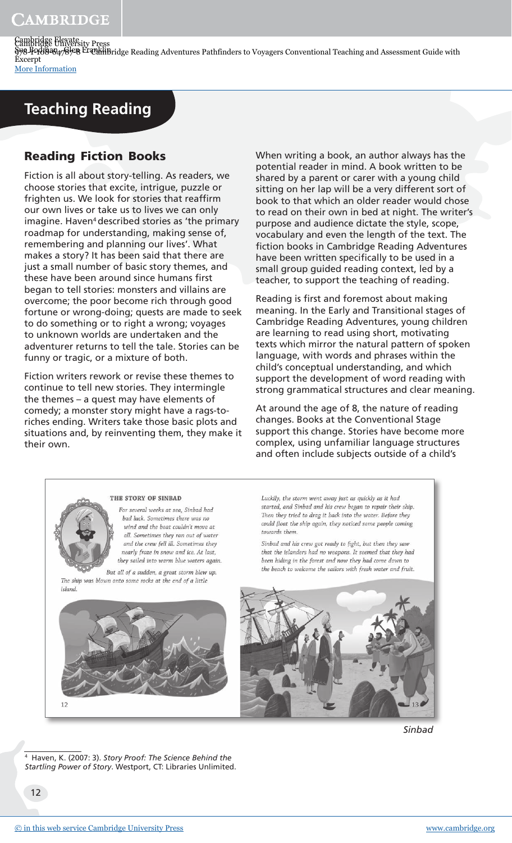## **Teaching Reading**

## Reading Fiction Books

Fiction is all about story-telling. As readers, we choose stories that excite, intrigue, puzzle or frighten us. We look for stories that reaffirm our own lives or take us to lives we can only imagine. Haven<sup>4</sup> described stories as 'the primary roadmap for understanding, making sense of, remembering and planning our lives'. What makes a story? It has been said that there are just a small number of basic story themes, and these have been around since humans first began to tell stories: monsters and villains are overcome; the poor become rich through good fortune or wrong-doing; quests are made to seek to do something or to right a wrong; voyages to unknown worlds are undertaken and the adventurer returns to tell the tale. Stories can be funny or tragic, or a mixture of both.

Fiction writers rework or revise these themes to continue to tell new stories. They intermingle the themes – a quest may have elements of comedy; a monster story might have a rags-toriches ending. Writers take those basic plots and situations and, by reinventing them, they make it their own.

When writing a book, an author always has the potential reader in mind. A book written to be shared by a parent or carer with a young child sitting on her lap will be a very different sort of book to that which an older reader would chose to read on their own in bed at night. The writer's purpose and audience dictate the style, scope, vocabulary and even the length of the text. The fiction books in Cambridge Reading Adventures have been written specifically to be used in a small group guided reading context, led by a teacher, to support the teaching of reading.

Reading is first and foremost about making meaning. In the Early and Transitional stages of Cambridge Reading Adventures, young children are learning to read using short, motivating texts which mirror the natural pattern of spoken language, with words and phrases within the child's conceptual understanding, and which support the development of word reading with strong grammatical structures and clear meaning.

At around the age of 8, the nature of reading changes. Books at the Conventional Stage support this change. Stories have become more complex, using unfamiliar language structures and often include subjects outside of a child's



THE STORY OF SINBAD

For several weeks at sea, Sinbad had bad luck. Sometimes there was no wind and the boat couldn't move at all. Sometimes they ran out of water and the crew fell ill. Sometimes they nearly froze in snow and ice. At last. they sailed into warm blue waters again.

But all of a sudden, a great storm blew up. The ship was blown onto some rocks at the end of a little island

Luckily, the storm went away just as quickly as it had started, and Sinbad and his crew began to repair their ship. Then they tried to drag it back into the water. Before they could float the ship again, they noticed some people coming towards them.

Sinbad and his crew got ready to fight, but then they saw that the islanders had no weapons. It seemed that they had been hiding in the forest and now they had come down to the beach to welcome the sailors with fresh water and fruit.





 $12$ 

4 Haven, K. (2007: 3). *Story Proof: The Science Behind the Startling Power of Story*. Westport, CT: Libraries Unlimited.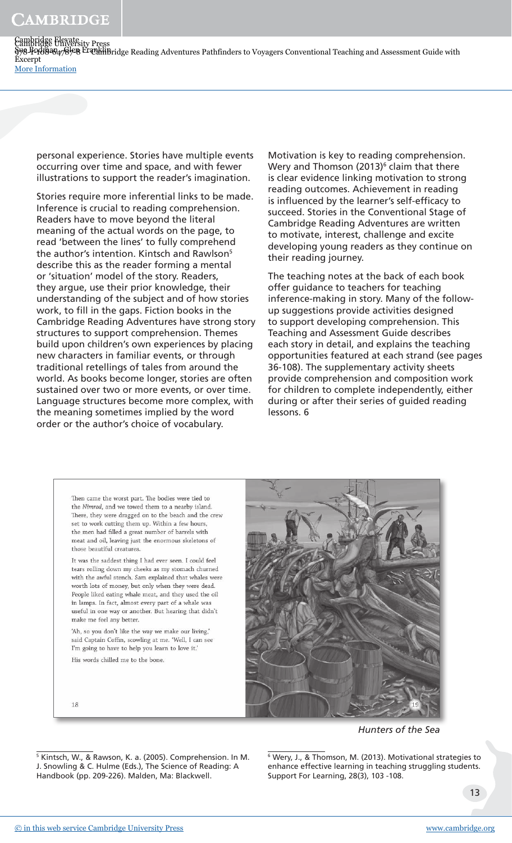5 Kintsch, W., & Rawson, K. a. (2005). Comprehension. In M. J. Snowling & C. Hulme (Eds.), The Science of Reading: A

### CAMBRIDGE

Cambridge University Press 998-19888478先8 CAMBridge Reading Adventures Pathfinders to Voyagers Conventional Teaching and Assessment Guide with Cambridge Elevate Sue Bodman , Glen Franklin Excerpt [More Information](www.cambridge.org/9781108647878)

personal experience. Stories have multiple events occurring over time and space, and with fewer illustrations to support the reader's imagination.

Stories require more inferential links to be made. Inference is crucial to reading comprehension. Readers have to move beyond the literal meaning of the actual words on the page, to read 'between the lines' to fully comprehend the author's intention. Kintsch and Rawlson<sup>5</sup> describe this as the reader forming a mental or 'situation' model of the story. Readers, they argue, use their prior knowledge, their understanding of the subject and of how stories work, to fill in the gaps. Fiction books in the Cambridge Reading Adventures have strong story structures to support comprehension. Themes build upon children's own experiences by placing new characters in familiar events, or through traditional retellings of tales from around the world. As books become longer, stories are often sustained over two or more events, or over time. Language structures become more complex, with the meaning sometimes implied by the word order or the author's choice of vocabulary.

Motivation is key to reading comprehension. Wery and Thomson (2013) $^{\circ}$  claim that there is clear evidence linking motivation to strong reading outcomes. Achievement in reading is influenced by the learner's self-efficacy to succeed. Stories in the Conventional Stage of Cambridge Reading Adventures are written to motivate, interest, challenge and excite developing young readers as they continue on their reading journey.

The teaching notes at the back of each book offer guidance to teachers for teaching inference-making in story. Many of the followup suggestions provide activities designed to support developing comprehension. This Teaching and Assessment Guide describes each story in detail, and explains the teaching opportunities featured at each strand (see pages 36-108). The supplementary activity sheets provide comprehension and composition work for children to complete independently, either during or after their series of guided reading lessons. 6

Then came the worst part. The bodies were tied to the Nimrod, and we towed them to a nearby island There, they were dragged on to the beach and the crew set to work cutting them up. Within a few hours, the men had filled a great number of barrels with meat and oil, leaving just the enormous skeletons of those beautiful creatures.

It was the saddest thing I had ever seen. I could feel tears rolling down my cheeks as my stomach churned with the awful stench. Sam explained that whales were worth lots of money, but only when they were dead. People liked eating whale meat, and they used the oil in lamps. In fact, almost every part of a whale was useful in one way or another. But hearing that didn't make me feel any better.

'Ah, so you don't like the way we make our living,' said Captain Coffin, scowling at me. 'Well, I can see I'm going to have to help you learn to love it.'

His words chilled me to the bone.

*Hunters of the Sea*

6 Wery, J., & Thomson, M. (2013). Motivational strategies to enhance effective learning in teaching struggling students. Support For Learning, 28(3), 103 -108.



18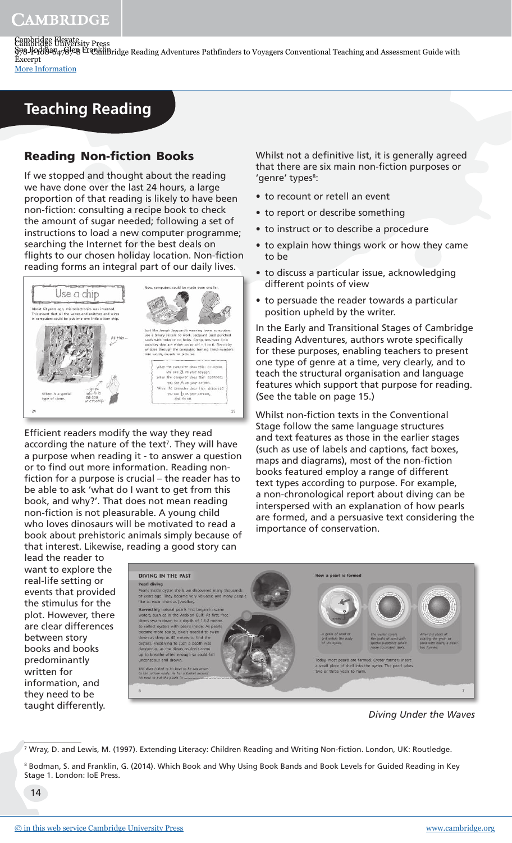# **Teaching Reading**

## Reading Non-fiction Books

If we stopped and thought about the reading we have done over the last 24 hours, a large proportion of that reading is likely to have been non-fiction: consulting a recipe book to check the amount of sugar needed; following a set of instructions to load a new computer programme; searching the Internet for the best deals on flights to our chosen holiday location. Non-fiction reading forms an integral part of our daily lives.



Efficient readers modify the way they read according the nature of the text<sup>7</sup>. They will have a purpose when reading it - to answer a question or to find out more information. Reading nonfiction for a purpose is crucial – the reader has to be able to ask 'what do I want to get from this book, and why?'. That does not mean reading non-fiction is not pleasurable. A young child who loves dinosaurs will be motivated to read a book about prehistoric animals simply because of that interest. Likewise, reading a good story can

Whilst not a definitive list, it is generally agreed that there are six main non-fiction purposes or 'genre' types<sup>8</sup>:

- to recount or retell an event
- to report or describe something
- to instruct or to describe a procedure
- to explain how things work or how they came to be
- to discuss a particular issue, acknowledging different points of view
- to persuade the reader towards a particular position upheld by the writer.

In the Early and Transitional Stages of Cambridge Reading Adventures, authors wrote specifically for these purposes, enabling teachers to present one type of genre at a time, very clearly, and to teach the structural organisation and language features which support that purpose for reading. (See the table on page 15.)

Whilst non-fiction texts in the Conventional Stage follow the same language structures and text features as those in the earlier stages (such as use of labels and captions, fact boxes, maps and diagrams), most of the non-fiction books featured employ a range of different text types according to purpose. For example, a non-chronological report about diving can be interspersed with an explanation of how pearls are formed, and a persuasive text considering the importance of conservation.

lead the reader to want to explore the real-life setting or events that provided the stimulus for the plot. However, there are clear differences between story books and books predominantly written for information, and they need to be taught differently.



*Diving Under the Waves*

<sup>7</sup> Wray, D. and Lewis, M. (1997). Extending Literacy: Children Reading and Writing Non-fiction. London, UK: Routledge.

 $^{\rm 8}$  Bodman, S. and Franklin, G. (2014). Which Book and Why Using Book Bands and Book Levels for Guided Reading in Key Stage 1. London: IoE Press.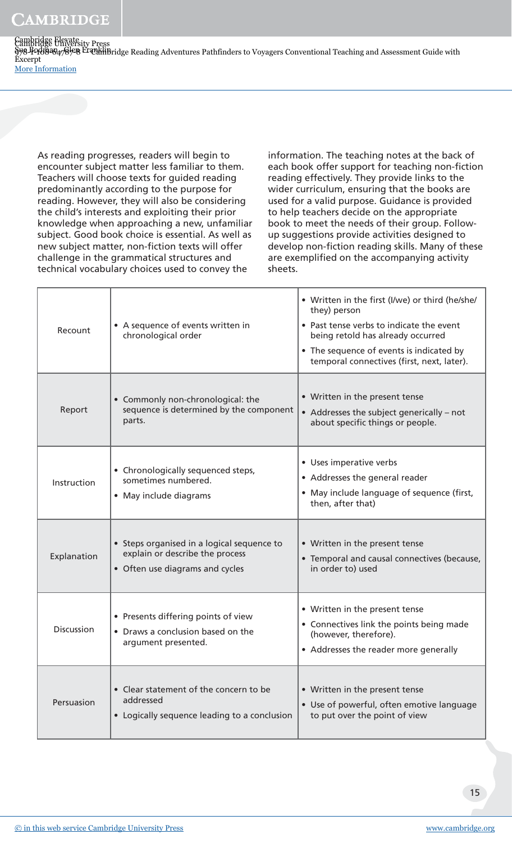As reading progresses, readers will begin to encounter subject matter less familiar to them. Teachers will choose texts for guided reading predominantly according to the purpose for reading. However, they will also be considering the child's interests and exploiting their prior knowledge when approaching a new, unfamiliar subject. Good book choice is essential. As well as new subject matter, non-fiction texts will offer challenge in the grammatical structures and technical vocabulary choices used to convey the

information. The teaching notes at the back of each book offer support for teaching non-fiction reading effectively. They provide links to the wider curriculum, ensuring that the books are used for a valid purpose. Guidance is provided to help teachers decide on the appropriate book to meet the needs of their group. Followup suggestions provide activities designed to develop non-fiction reading skills. Many of these are exemplified on the accompanying activity sheets.

| Recount           | • A sequence of events written in<br>chronological order                                                         | • Written in the first (I/we) or third (he/she/<br>they) person<br>• Past tense verbs to indicate the event<br>being retold has already occurred<br>• The sequence of events is indicated by<br>temporal connectives (first, next, later). |
|-------------------|------------------------------------------------------------------------------------------------------------------|--------------------------------------------------------------------------------------------------------------------------------------------------------------------------------------------------------------------------------------------|
| Report            | • Commonly non-chronological: the<br>sequence is determined by the component<br>parts.                           | • Written in the present tense<br>• Addresses the subject generically - not<br>about specific things or people.                                                                                                                            |
| Instruction       | • Chronologically sequenced steps,<br>sometimes numbered.<br>• May include diagrams                              | • Uses imperative verbs<br>• Addresses the general reader<br>• May include language of sequence (first,<br>then, after that)                                                                                                               |
| Explanation       | • Steps organised in a logical sequence to<br>explain or describe the process<br>• Often use diagrams and cycles | • Written in the present tense<br>• Temporal and causal connectives (because,<br>in order to) used                                                                                                                                         |
| <b>Discussion</b> | • Presents differing points of view<br>• Draws a conclusion based on the<br>argument presented.                  | • Written in the present tense<br>• Connectives link the points being made<br>(however, therefore).<br>• Addresses the reader more generally                                                                                               |
| Persuasion        | • Clear statement of the concern to be<br>addressed<br>• Logically sequence leading to a conclusion              | • Written in the present tense<br>• Use of powerful, often emotive language<br>to put over the point of view                                                                                                                               |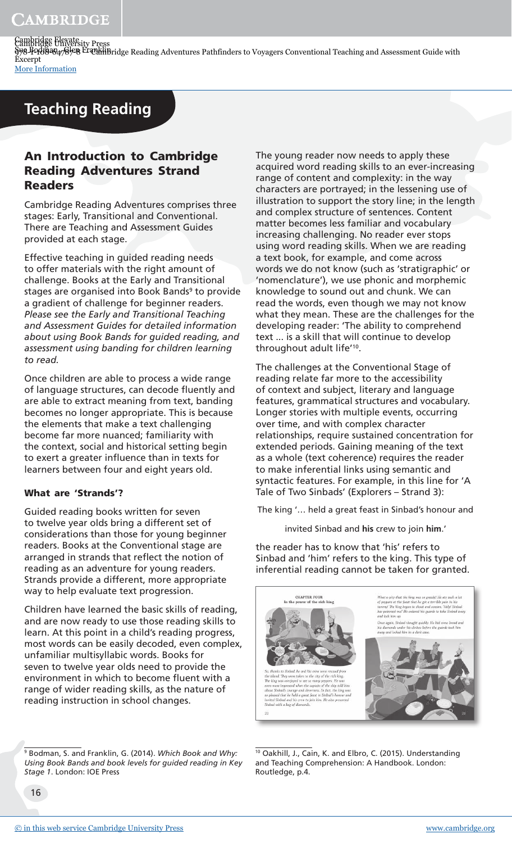Cambridge University Press 998-19888478先8 CAMBridge Reading Adventures Pathfinders to Voyagers Conventional Teaching and Assessment Guide with Cambridge Elevate Sue Bodman , Glen Franklin Excerpt [More Information](www.cambridge.org/9781108647878)

## **Teaching Reading**

#### An Introduction to Cambridge Reading Adventures Strand Readers

Cambridge Reading Adventures comprises three stages: Early, Transitional and Conventional. There are Teaching and Assessment Guides provided at each stage.

Effective teaching in guided reading needs to offer materials with the right amount of challenge. Books at the Early and Transitional stages are organised into Book Bands<sup>9</sup> to provide a gradient of challenge for beginner readers. *Please see the Early and Transitional Teaching and Assessment Guides for detailed information about using Book Bands for guided reading, and assessment using banding for children learning to read.*

Once children are able to process a wide range of language structures, can decode fluently and are able to extract meaning from text, banding becomes no longer appropriate. This is because the elements that make a text challenging become far more nuanced; familiarity with the context, social and historical setting begin to exert a greater influence than in texts for learners between four and eight years old.

#### What are 'Strands'?

Guided reading books written for seven to twelve year olds bring a different set of considerations than those for young beginner readers. Books at the Conventional stage are arranged in strands that reflect the notion of reading as an adventure for young readers. Strands provide a different, more appropriate way to help evaluate text progression.

Children have learned the basic skills of reading, and are now ready to use those reading skills to learn. At this point in a child's reading progress, most words can be easily decoded, even complex, unfamiliar multisyllabic words. Books for seven to twelve year olds need to provide the environment in which to become fluent with a range of wider reading skills, as the nature of reading instruction in school changes.

The young reader now needs to apply these acquired word reading skills to an ever-increasing range of content and complexity: in the way characters are portrayed; in the lessening use of illustration to support the story line; in the length and complex structure of sentences. Content matter becomes less familiar and vocabulary increasing challenging. No reader ever stops using word reading skills. When we are reading a text book, for example, and come across words we do not know (such as 'stratigraphic' or 'nomenclature'), we use phonic and morphemic knowledge to sound out and chunk. We can read the words, even though we may not know what they mean. These are the challenges for the developing reader: 'The ability to comprehend text ... is a skill that will continue to develop

The challenges at the Conventional Stage of reading relate far more to the accessibility of context and subject, literary and language features, grammatical structures and vocabulary. Longer stories with multiple events, occurring over time, and with complex character relationships, require sustained concentration for extended periods. Gaining meaning of the text as a whole (text coherence) requires the reader to make inferential links using semantic and syntactic features. For example, in this line for 'A Tale of Two Sinbads' (Explorers – Strand 3):

throughout adult life'<sup>10</sup> .

The king '… held a great feast in Sinbad's honour and

invited Sinbad and **his** crew to join **him**.'

the reader has to know that 'his' refers to Sinbad and 'him' refers to the king. This type of inferential reading cannot be taken for granted.



9 Bodman, S. and Franklin, G. (2014). *Which Book and Why: Using Book Bands and book levels for guided reading in Key Stage 1*. London: IOE Press

<sup>10</sup> Oakhill, J., Cain, K. and Elbro, C. (2015). Understanding and Teaching Comprehension: A Handbook. London: Routledge, p.4.